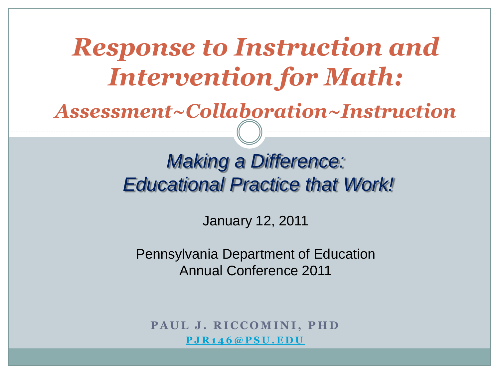## *Response to Instruction and Intervention for Math:*

*Assessment~Collaboration~Instruction*

#### *Making a Difference: Educational Practice that Work!*

January 12, 2011

Pennsylvania Department of Education Annual Conference 2011

**PAUL J. RICCOMINI, PHD [P J R 1 4 6 @ P S U . E D U](mailto:pjr146@psu.edu)**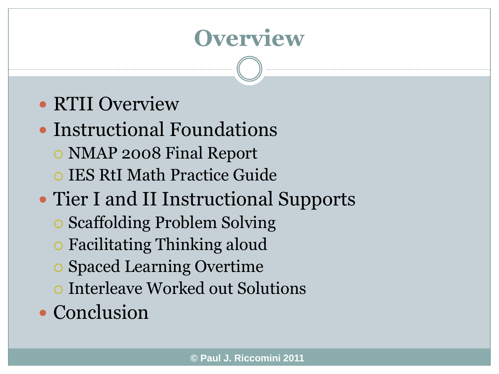#### **Overview**

#### RTII Overview

- Instructional Foundations
	- NMAP 2008 Final Report
	- IES RtI Math Practice Guide
- Tier I and II Instructional Supports
	- Scaffolding Problem Solving
	- Facilitating Thinking aloud
	- Spaced Learning Overtime
	- Interleave Worked out Solutions
- Conclusion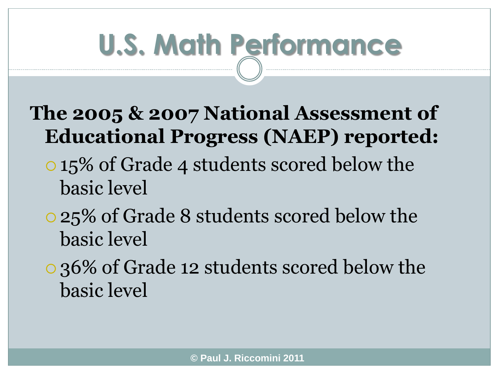# **U.S. Math Performance**

#### **The 2005 & 2007 National Assessment of Educational Progress (NAEP) reported:**

- 15% of Grade 4 students scored below the basic level
- 25% of Grade 8 students scored below the basic level
- 36% of Grade 12 students scored below the basic level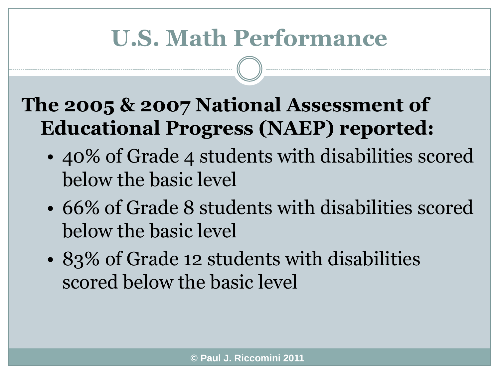#### **U.S. Math Performance**

#### **The 2005 & 2007 National Assessment of Educational Progress (NAEP) reported:**

- 40% of Grade 4 students with disabilities scored below the basic level
- 66% of Grade 8 students with disabilities scored below the basic level
- 83% of Grade 12 students with disabilities scored below the basic level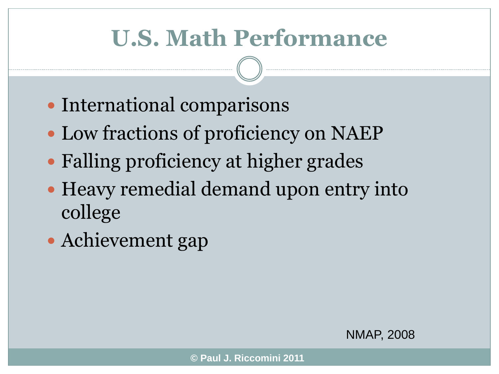## **U.S. Math Performance**

- International comparisons
- Low fractions of proficiency on NAEP
- Falling proficiency at higher grades
- Heavy remedial demand upon entry into college
- Achievement gap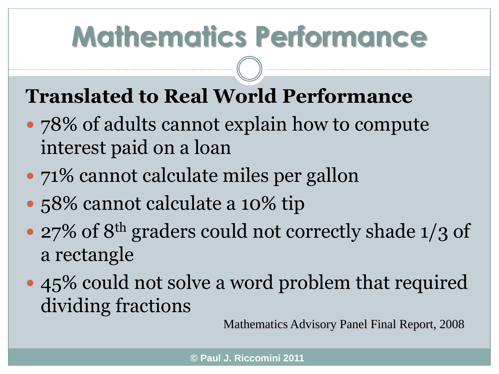# **Mathematics Performance**

#### **Translated to Real World Performance**

- 78% of adults cannot explain how to compute interest paid on a loan
- 71% cannot calculate miles per gallon
- 58% cannot calculate a 10% tip
- 27% of 8<sup>th</sup> graders could not correctly shade 1/3 of a rectangle
- 45% could not solve a word problem that required dividing fractions

Mathematics Advisory Panel Final Report, 2008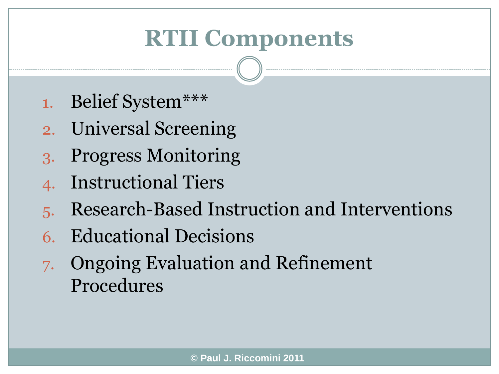## **RTII Components**

- 1. Belief System\*\*\*
- 2. Universal Screening
- 3. Progress Monitoring
- 4. Instructional Tiers
- 5. Research-Based Instruction and Interventions
- 6. Educational Decisions
- 7. Ongoing Evaluation and Refinement Procedures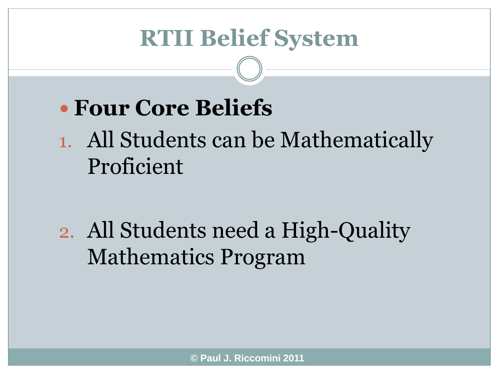#### **RTII Belief System**

#### **Four Core Beliefs**

1. All Students can be Mathematically Proficient

2. All Students need a High-Quality Mathematics Program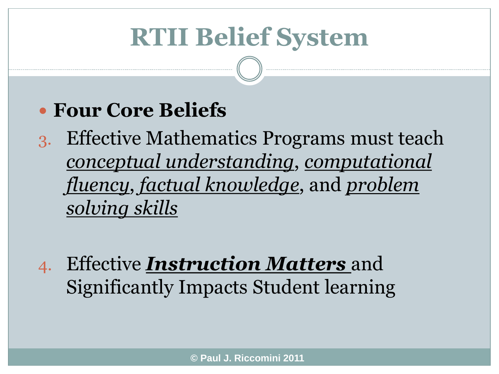# **RTII Belief System**

#### **Four Core Beliefs**

3. Effective Mathematics Programs must teach *conceptual understanding*, *computational fluency*, *factual knowledge*, and *problem solving skills*

4. Effective *Instruction Matters* and Significantly Impacts Student learning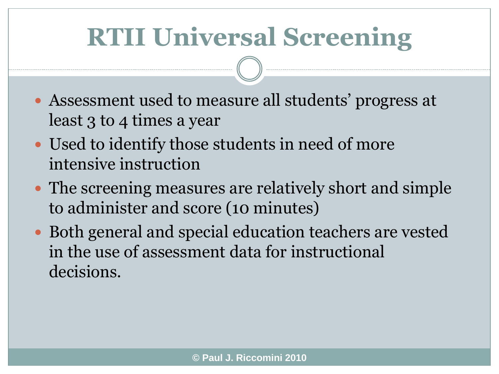# **RTII Universal Screening**

- Assessment used to measure all students' progress at least 3 to 4 times a year
- Used to identify those students in need of more intensive instruction
- The screening measures are relatively short and simple to administer and score (10 minutes)
- Both general and special education teachers are vested in the use of assessment data for instructional decisions.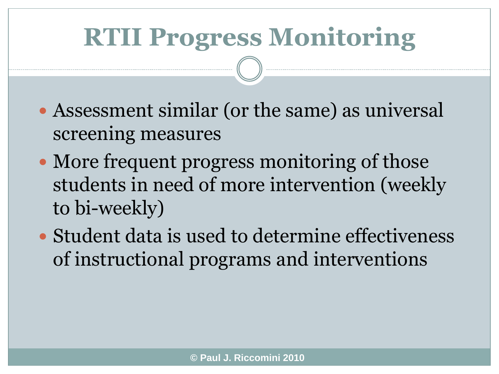# **RTII Progress Monitoring**

- Assessment similar (or the same) as universal screening measures
- More frequent progress monitoring of those students in need of more intervention (weekly to bi-weekly)
- Student data is used to determine effectiveness of instructional programs and interventions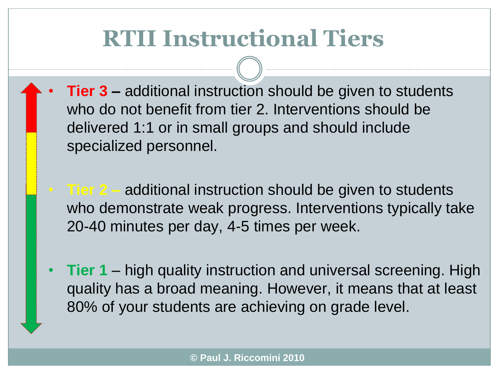### **RTII Instructional Tiers**

- **Tier 3** additional instruction should be given to students who do not benefit from tier 2. Interventions should be delivered 1:1 or in small groups and should include specialized personnel.
	- **Tier 2 –** additional instruction should be given to students who demonstrate weak progress. Interventions typically take 20-40 minutes per day, 4-5 times per week.
- **Tier 1**  high quality instruction and universal screening. High quality has a broad meaning. However, it means that at least 80% of your students are achieving on grade level.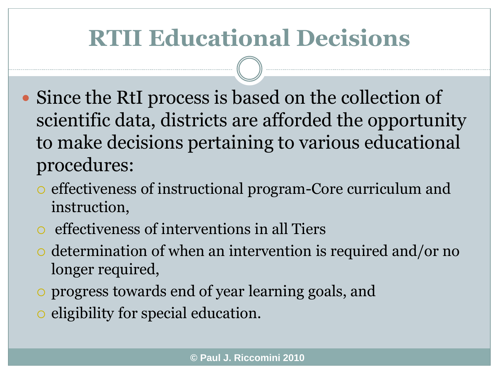## **RTII Educational Decisions**

- Since the RtI process is based on the collection of scientific data, districts are afforded the opportunity to make decisions pertaining to various educational procedures:
	- effectiveness of instructional program-Core curriculum and instruction,
	- effectiveness of interventions in all Tiers
	- $\circ$  determination of when an intervention is required and/or no longer required,
	- progress towards end of year learning goals, and
	- o eligibility for special education.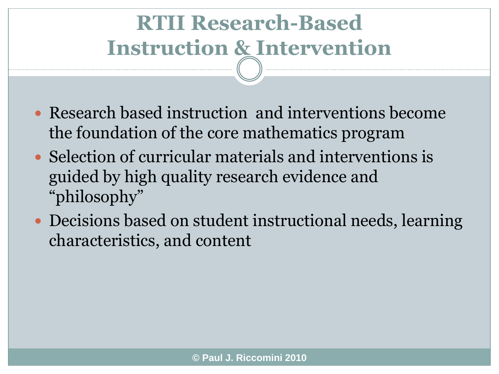## **RTII Research-Based Instruction & Intervention**

- Research based instruction and interventions become the foundation of the core mathematics program
- Selection of curricular materials and interventions is guided by high quality research evidence and "philosophy"
- Decisions based on student instructional needs, learning characteristics, and content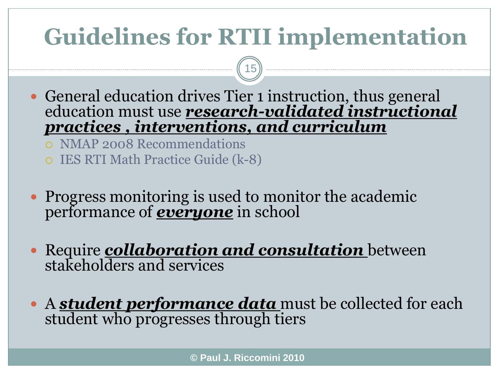# **Guidelines for RTII implementation**

15

- General education drives Tier 1 instruction, thus general education must use *research-validated instructional practices , interventions, and curriculum*
	- NMAP 2008 Recommendations
	- IES RTI Math Practice Guide (k-8)
- Progress monitoring is used to monitor the academic performance of *everyone* in school
- Require *collaboration and consultation* between stakeholders and services
- A *student performance data* must be collected for each student who progresses through tiers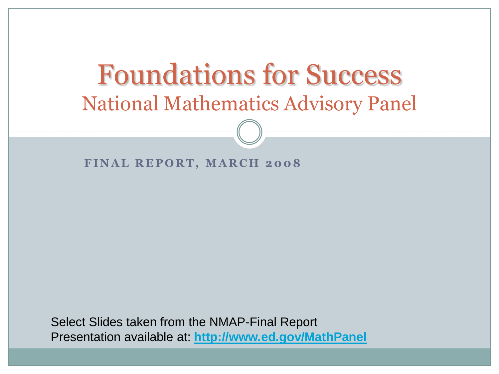### Foundations for Success National Mathematics Advisory Panel

#### **FINAL REPORT, MARCH 2008**

Select Slides taken from the NMAP-Final Report Presentation available at: **<http://www.ed.gov/MathPanel>**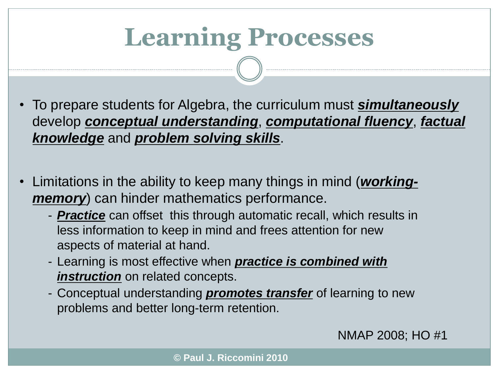# **Learning Processes**

- To prepare students for Algebra, the curriculum must *simultaneously* develop *conceptual understanding*, *computational fluency*, *factual knowledge* and *problem solving skills*.
- Limitations in the ability to keep many things in mind (*workingmemory*) can hinder mathematics performance.
	- *Practice* can offset this through automatic recall, which results in less information to keep in mind and frees attention for new aspects of material at hand.
	- Learning is most effective when *practice is combined with instruction* on related concepts.
	- Conceptual understanding *promotes transfer* of learning to new problems and better long-term retention.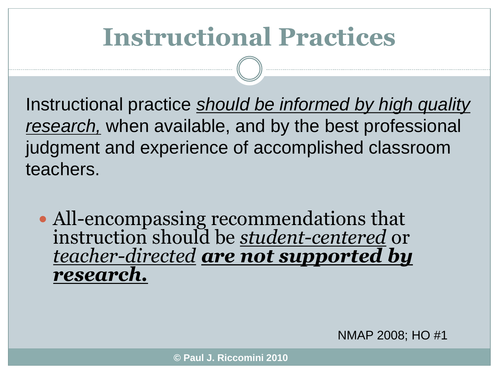# **Instructional Practices**

Instructional practice *should be informed by high quality research,* when available, and by the best professional judgment and experience of accomplished classroom teachers.

• All-encompassing recommendations that instruction should be *student-centered* or *teacher-directed are not supported by research.*

NMAP 2008; HO #1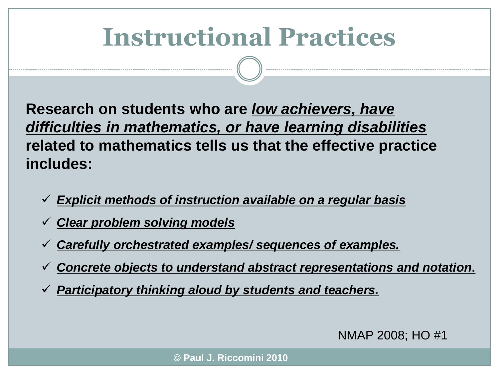# **Instructional Practices**

**Research on students who are** *low achievers, have difficulties in mathematics, or have learning disabilities* **related to mathematics tells us that the effective practice includes:**

- *Explicit methods of instruction available on a regular basis*
- *Clear problem solving models*
- *Carefully orchestrated examples/ sequences of examples.*
- *Concrete objects to understand abstract representations and notation***.**
- *Participatory thinking aloud by students and teachers.*

NMAP 2008; HO #1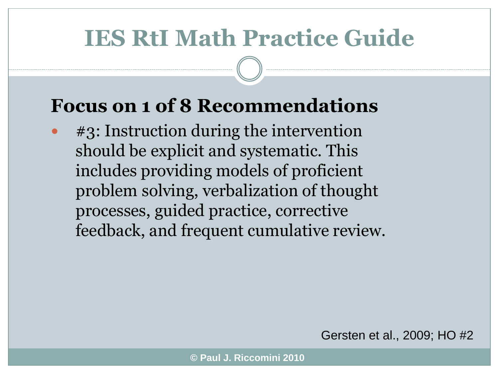#### **IES RtI Math Practice Guide**

#### **Focus on 1 of 8 Recommendations**

 #3: Instruction during the intervention should be explicit and systematic. This includes providing models of proficient problem solving, verbalization of thought processes, guided practice, corrective feedback, and frequent cumulative review.

Gersten et al., 2009; HO #2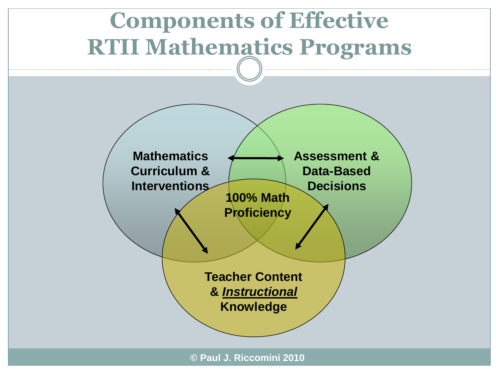## **Components of Effective RTII Mathematics Programs**



**© Paul J. Riccomini 2010**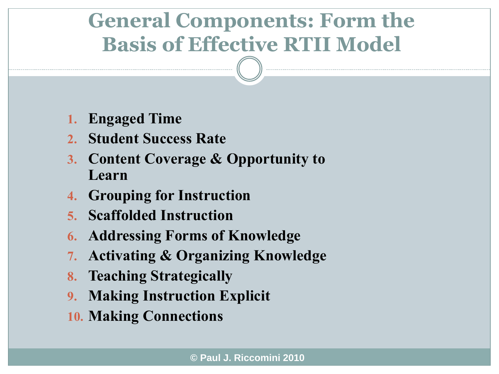#### **General Components: Form the Basis of Effective RTII Model**

- **1. Engaged Time**
- **2. Student Success Rate**
- **3. Content Coverage & Opportunity to Learn**
- **4. Grouping for Instruction**
- **5. Scaffolded Instruction**
- **6. Addressing Forms of Knowledge**
- **7. Activating & Organizing Knowledge**
- **8. Teaching Strategically**
- **9. Making Instruction Explicit**
- **10. Making Connections**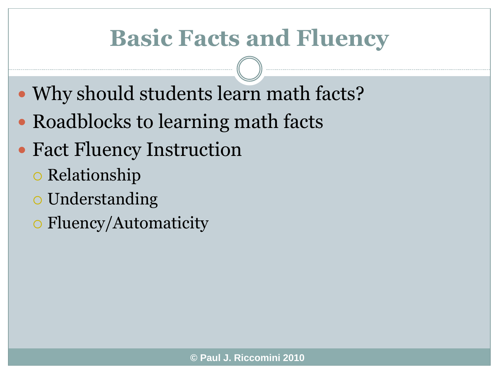#### **Basic Facts and Fluency**

- Why should students learn math facts?
- Roadblocks to learning math facts
- Fact Fluency Instruction
	- o Relationship
	- Understanding
	- Fluency/Automaticity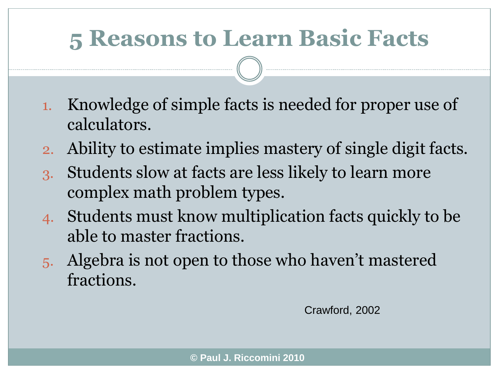#### **5 Reasons to Learn Basic Facts**

- 1. Knowledge of simple facts is needed for proper use of calculators.
- 2. Ability to estimate implies mastery of single digit facts.
- 3. Students slow at facts are less likely to learn more complex math problem types.
- 4. Students must know multiplication facts quickly to be able to master fractions.
- 5. Algebra is not open to those who haven't mastered fractions.

Crawford, 2002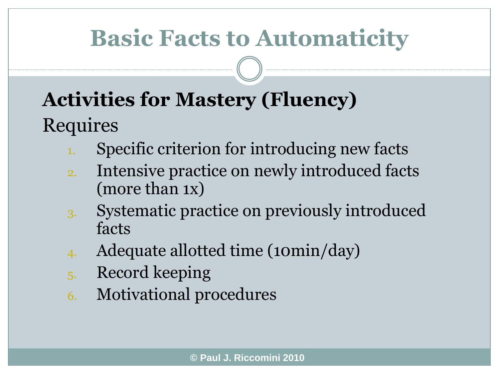## **Basic Facts to Automaticity**

#### **Activities for Mastery (Fluency)** Requires

- Specific criterion for introducing new facts
- 2. Intensive practice on newly introduced facts (more than 1x)
- 3. Systematic practice on previously introduced facts
- 4. Adequate allotted time (10min/day)
- 5. Record keeping
- 6. Motivational procedures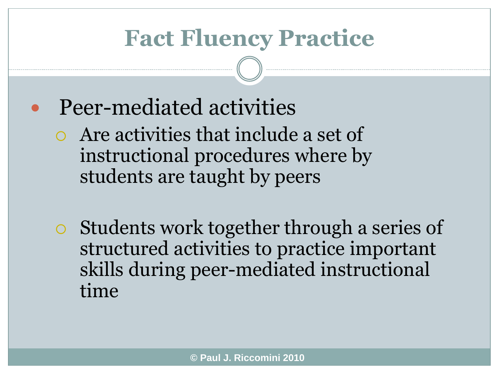#### **Fact Fluency Practice**

- Peer-mediated activities
	- Are activities that include a set of instructional procedures where by students are taught by peers
	- Students work together through a series of structured activities to practice important skills during peer-mediated instructional time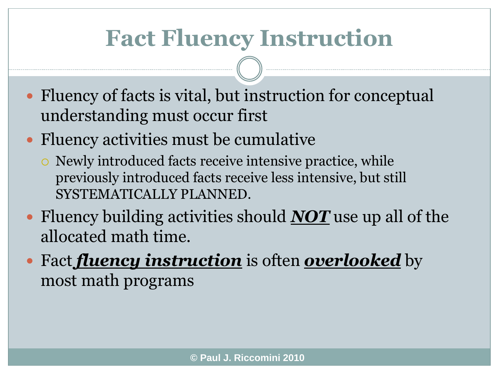#### **Fact Fluency Instruction**

- Fluency of facts is vital, but instruction for conceptual understanding must occur first
- Fluency activities must be cumulative
	- Newly introduced facts receive intensive practice, while previously introduced facts receive less intensive, but still SYSTEMATICALLY PLANNED.
- Fluency building activities should *NOT* use up all of the allocated math time.
- Fact *fluency instruction* is often *overlooked* by most math programs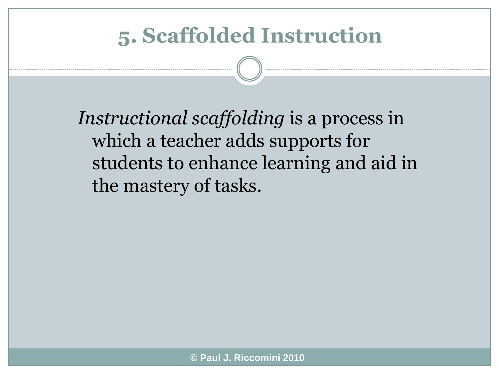#### **5. Scaffolded Instruction**

*Instructional scaffolding* is a process in which a teacher adds supports for students to enhance learning and aid in the mastery of tasks.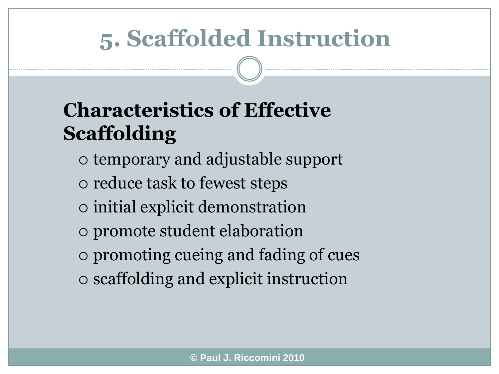## **5. Scaffolded Instruction**

#### **Characteristics of Effective Scaffolding**

- temporary and adjustable support
- reduce task to fewest steps
- initial explicit demonstration
- promote student elaboration
- promoting cueing and fading of cues
- scaffolding and explicit instruction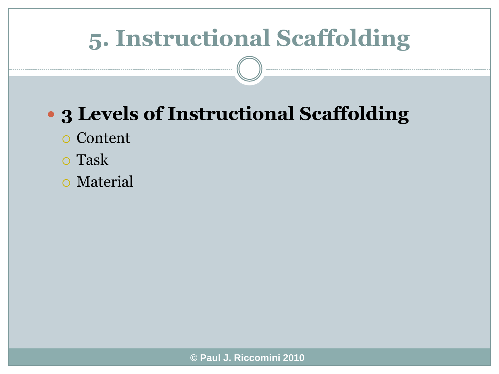## **5. Instructional Scaffolding**

#### **3 Levels of Instructional Scaffolding**

- Content
- Task
- Material

**© Paul J. Riccomini 2010**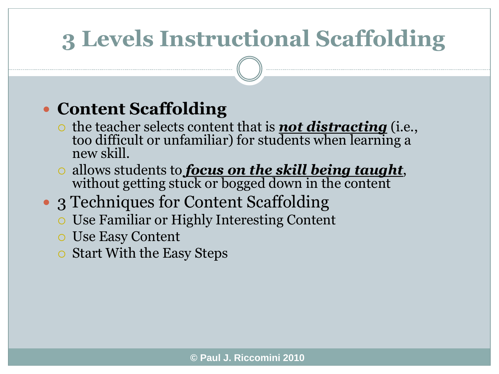## **3 Levels Instructional Scaffolding**

#### **Content Scaffolding**

- o the teacher selects content that is **not distracting** (i.e., too difficult or unfamiliar) for students when learning a new skill.
- allows students to *focus on the skill being taught*, without getting stuck or bogged down in the content
- 3 Techniques for Content Scaffolding
	- Use Familiar or Highly Interesting Content
	- Use Easy Content
	- $\circ$  Start With the Easy Steps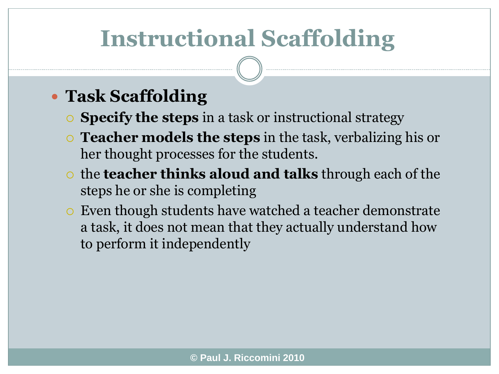## **Instructional Scaffolding**

#### **Task Scaffolding**

- **Specify the steps** in a task or instructional strategy
- **Teacher models the steps** in the task, verbalizing his or her thought processes for the students.
- the **teacher thinks aloud and talks** through each of the steps he or she is completing
- Even though students have watched a teacher demonstrate a task, it does not mean that they actually understand how to perform it independently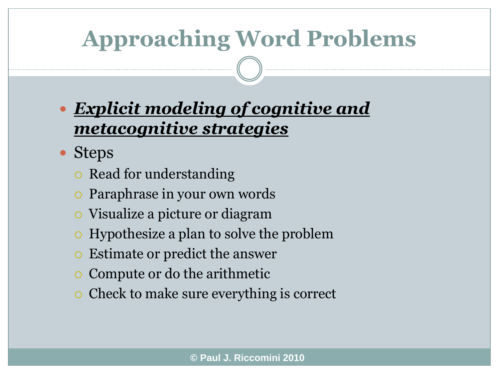## **Approaching Word Problems**

#### *Explicit modeling of cognitive and metacognitive strategies*

- Steps
	- $\circ$  Read for understanding
	- Paraphrase in your own words
	- Visualize a picture or diagram
	- Hypothesize a plan to solve the problem
	- Estimate or predict the answer
	- $\circ$  Compute or do the arithmetic
	- $\circ$  Check to make sure everything is correct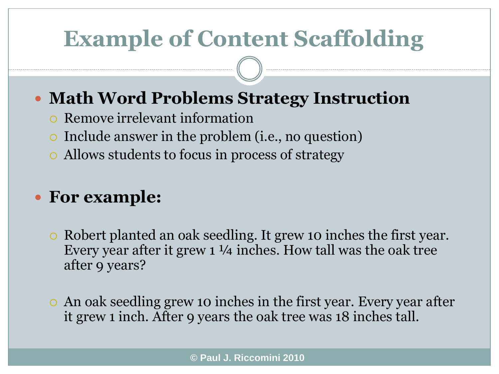#### **Example of Content Scaffolding**

#### **Math Word Problems Strategy Instruction**

- Remove irrelevant information
- Include answer in the problem (i.e., no question)
- Allows students to focus in process of strategy

#### **For example:**

- Robert planted an oak seedling. It grew 10 inches the first year. Every year after it grew 1 ¼ inches. How tall was the oak tree after 9 years?
- An oak seedling grew 10 inches in the first year. Every year after it grew 1 inch. After 9 years the oak tree was 18 inches tall.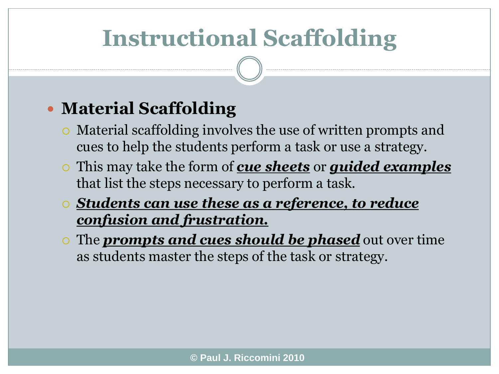## **Instructional Scaffolding**

#### **Material Scaffolding**

- Material scaffolding involves the use of written prompts and cues to help the students perform a task or use a strategy.
- This may take the form of *cue sheets* or *guided examples* that list the steps necessary to perform a task.
- *Students can use these as a reference, to reduce confusion and frustration.*
- The *prompts and cues should be phased* out over time as students master the steps of the task or strategy.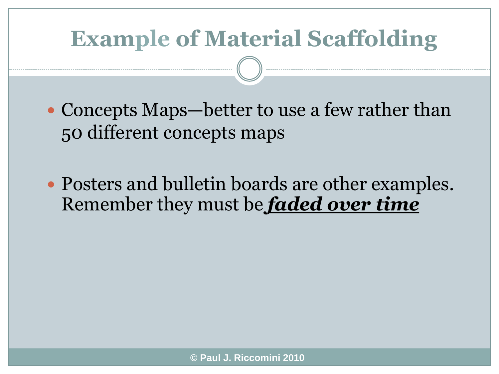## **Example of Material Scaffolding**

- Concepts Maps—better to use a few rather than 50 different concepts maps
- Posters and bulletin boards are other examples. Remember they must be *faded over time*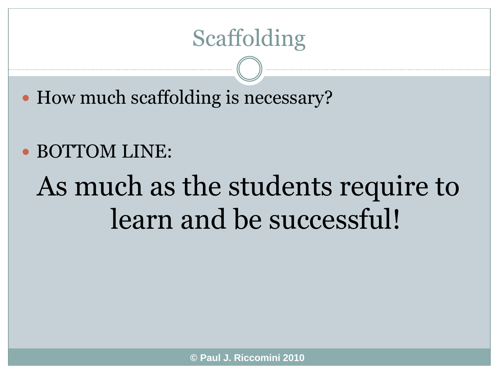#### Scaffolding

• How much scaffolding is necessary?

#### BOTTOM LINE:

# As much as the students require to learn and be successful!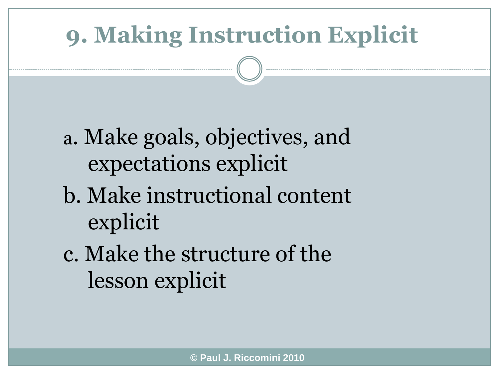## **9. Making Instruction Explicit**

a. Make goals, objectives, and expectations explicit

- b. Make instructional content explicit
- c. Make the structure of the lesson explicit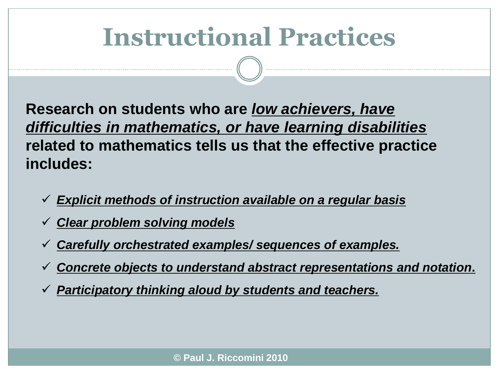# **Instructional Practices**

**Research on students who are** *low achievers, have difficulties in mathematics, or have learning disabilities* **related to mathematics tells us that the effective practice includes:**

- *Explicit methods of instruction available on a regular basis*
- *Clear problem solving models*
- *Carefully orchestrated examples/ sequences of examples.*
- *Concrete objects to understand abstract representations and notation***.**
- *Participatory thinking aloud by students and teachers.*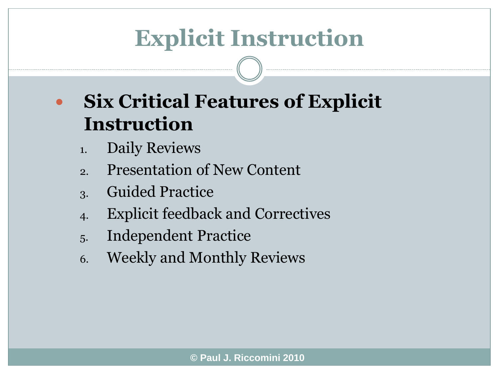## **Explicit Instruction**

- **Six Critical Features of Explicit Instruction**
	- 1. Daily Reviews
	- 2. Presentation of New Content
	- 3. Guided Practice
	- 4. Explicit feedback and Correctives
	- 5. Independent Practice
	- 6. Weekly and Monthly Reviews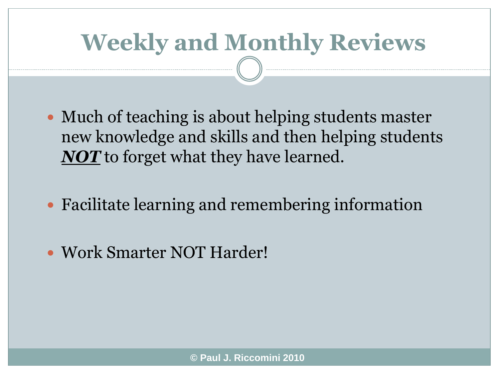## **Weekly and Monthly Reviews**

- Much of teaching is about helping students master new knowledge and skills and then helping students *NOT* to forget what they have learned.
- Facilitate learning and remembering information
- Work Smarter NOT Harder!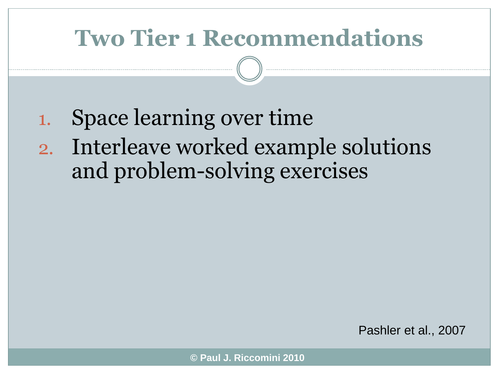## **Two Tier 1 Recommendations**

- 1. Space learning over time
- 2. Interleave worked example solutions and problem-solving exercises

Pashler et al., 2007

**© Paul J. Riccomini 2010**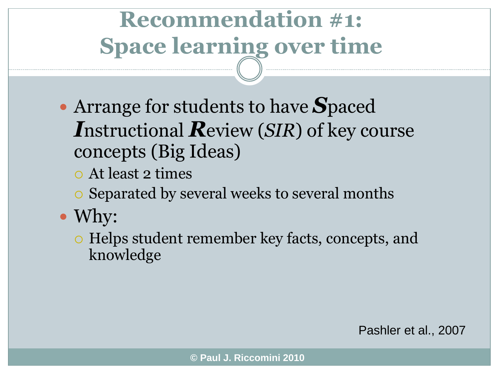# **Recommendation #1: Space learning over time**

- Arrange for students to have *S*paced *I*nstructional *R*eview (*SIR*) of key course concepts (Big Ideas)
	- At least 2 times
	- Separated by several weeks to several months
- Why:
	- Helps student remember key facts, concepts, and knowledge

Pashler et al., 2007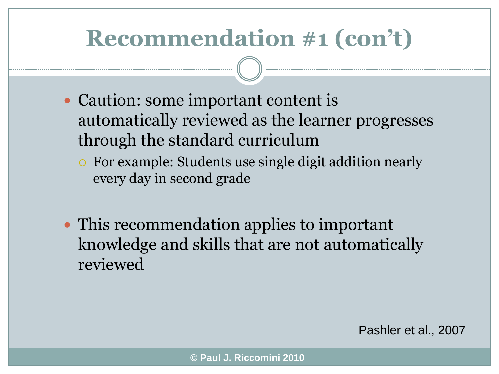## **Recommendation #1 (con't)**

- Caution: some important content is automatically reviewed as the learner progresses through the standard curriculum
	- For example: Students use single digit addition nearly every day in second grade
- This recommendation applies to important knowledge and skills that are not automatically reviewed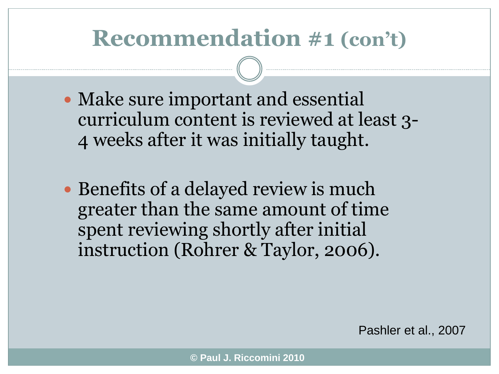#### **Recommendation #1 (con't)**

- Make sure important and essential curriculum content is reviewed at least 3- 4 weeks after it was initially taught.
- Benefits of a delayed review is much greater than the same amount of time spent reviewing shortly after initial instruction (Rohrer & Taylor, 2006).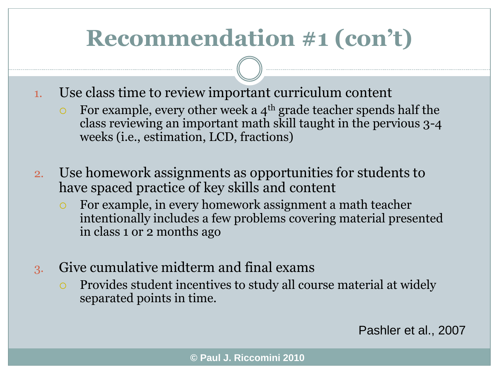## **Recommendation #1 (con't)**

- 1. Use class time to review important curriculum content
	- For example, every other week a  $4<sup>th</sup>$  grade teacher spends half the class reviewing an important math skill taught in the pervious 3-4 weeks (i.e., estimation, LCD, fractions)
- 2. Use homework assignments as opportunities for students to have spaced practice of key skills and content
	- For example, in every homework assignment a math teacher intentionally includes a few problems covering material presented in class 1 or 2 months ago
- 3. Give cumulative midterm and final exams
	- Provides student incentives to study all course material at widely separated points in time.

Pashler et al., 2007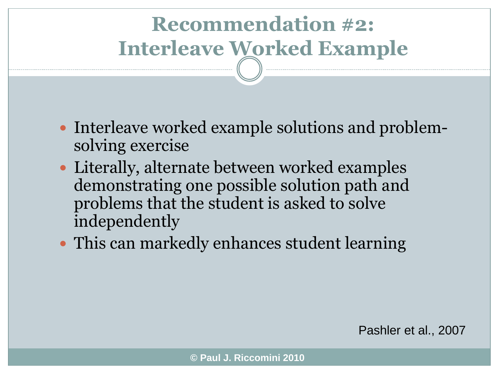- Interleave worked example solutions and problemsolving exercise
- Literally, alternate between worked examples demonstrating one possible solution path and problems that the student is asked to solve independently
- This can markedly enhances student learning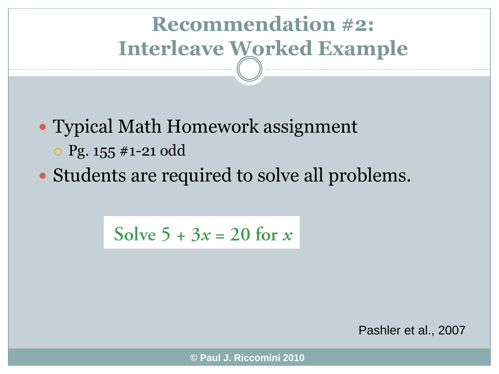• Typical Math Homework assignment

Pg. 155 #1-21 odd

• Students are required to solve all problems.

Solve  $5 + 3x = 20$  for x

Pashler et al., 2007

**© Paul J. Riccomini 2010**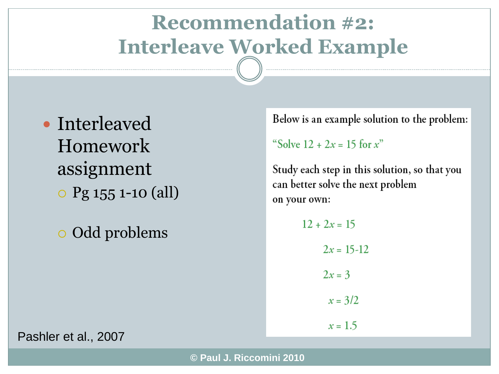• Interleaved Homework assignment Pg 155 1-10 (all)

Odd problems

Below is an example solution to the problem:

"Solve  $12 + 2x = 15$  for x"

Study each step in this solution, so that you can better solve the next problem on your own:

```
12 + 2x = 152x = 15-122x = 3x = 3/2x = 1.5
```
Pashler et al., 2007

**© Paul J. Riccomini 2010**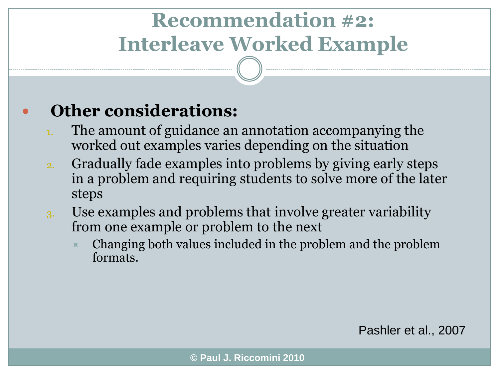#### **Other considerations:**

- The amount of guidance an annotation accompanying the worked out examples varies depending on the situation
- 2. Gradually fade examples into problems by giving early steps in a problem and requiring students to solve more of the later steps
- 3. Use examples and problems that involve greater variability from one example or problem to the next
	- Changing both values included in the problem and the problem formats.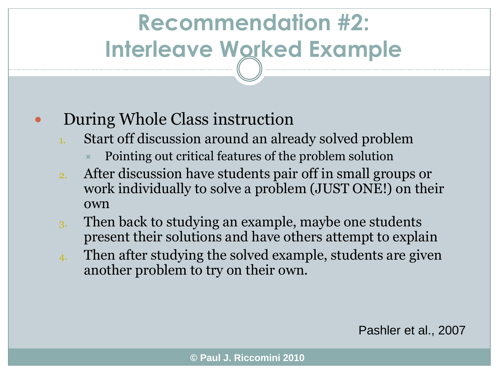#### During Whole Class instruction

- Start off discussion around an already solved problem
	- Pointing out critical features of the problem solution
- 2. After discussion have students pair off in small groups or work individually to solve a problem (JUST ONE!) on their own
- 3. Then back to studying an example, maybe one students present their solutions and have others attempt to explain
- 4. Then after studying the solved example, students are given another problem to try on their own.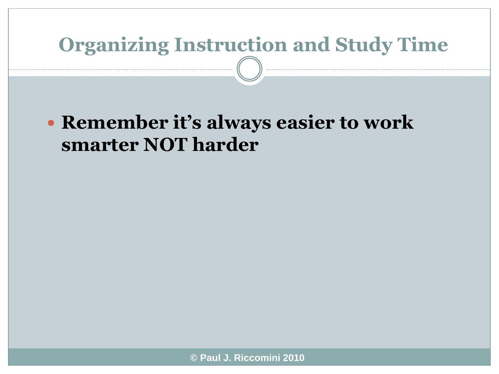#### **Organizing Instruction and Study Time**

#### **Remember it's always easier to work smarter NOT harder**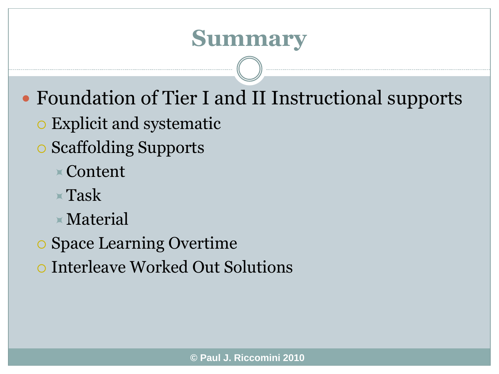#### **Summary**

- Foundation of Tier I and II Instructional supports
	- Explicit and systematic
	- Scaffolding Supports
		- Content
		- Task
		- Material
	- Space Learning Overtime
	- Interleave Worked Out Solutions